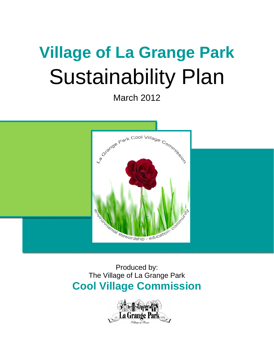# **Village of La Grange Park**  Sustainability Plan

March 2012



# Produced by: The Village of La Grange Park **Cool Village Commission**

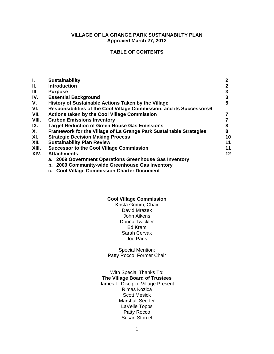#### **VILLAGE OF LA GRANGE PARK SUSTAINABILTY PLAN Approved March 27, 2012**

# **TABLE OF CONTENTS**

| Ι.          | <b>Sustainability</b>                                                 | $\mathbf{2}$ |
|-------------|-----------------------------------------------------------------------|--------------|
| Ш.          | <b>Introduction</b>                                                   |              |
| III.        | <b>Purpose</b>                                                        | 3            |
| IV.         | <b>Essential Background</b>                                           | 3            |
| $V_{\cdot}$ | History of Sustainable Actions Taken by the Village                   | 5            |
| VI.         | Responsibilities of the Cool Village Commission, and its Successors 6 |              |
| VII.        | <b>Actions taken by the Cool Village Commission</b>                   |              |
| VIII.       | <b>Carbon Emissions Inventory</b>                                     |              |
| IX.         | <b>Target Reduction of Green House Gas Emissions</b>                  | 8            |
| Х.          | Framework for the Village of La Grange Park Sustainable Strategies    | 8            |
| XI.         | <b>Strategic Decision Making Process</b>                              |              |
| XII.        | <b>Sustainability Plan Review</b>                                     | 11           |
| XIII.       | <b>Successor to the Cool Village Commission</b>                       | 11           |
| XIV.        | <b>Attachments</b>                                                    | $12 \,$      |
|             | a. 2009 Government Operations Greenhouse Gas Inventory                |              |
|             | b. 2009 Community-wide Greenhouse Gas Inventory                       |              |
|             |                                                                       |              |

**c. Cool Village Commission Charter Document** 

#### **Cool Village Commission**

Krista Grimm, Chair David Mrazek John Aikens Donna Twickler Ed Kram Sarah Cervak Joe Paris

Special Mention: Patty Rocco, Former Chair

With Special Thanks To: **The Village Board of Trustees**  James L. Discipio, Village Present Rimas Kozica Scott Mesick Marshall Seeder LaVelle Topps Patty Rocco Susan Storcel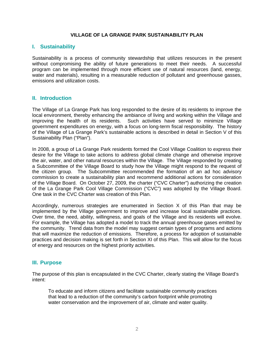#### **VILLAGE OF LA GRANGE PARK SUSTAINABILITY PLAN**

# **I. Sustainability**

Sustainability is a process of community stewardship that utilizes resources in the present without compromising the ability of future generations to meet their needs. A successful program can be implemented through more efficient use of natural resources (land, energy, water and materials), resulting in a measurable reduction of pollutant and greenhouse gasses, emissions and utilization costs.

# **II. Introduction**

The Village of La Grange Park has long responded to the desire of its residents to improve the local environment, thereby enhancing the ambiance of living and working within the Village and improving the health of its residents. Such activities have served to minimize Village government expenditures on energy, with a focus on long-term fiscal responsibility. The history of the Village of La Grange Park's sustainable actions is described in detail in Section V of this Sustainability Plan ("Plan").

In 2008, a group of La Grange Park residents formed the Cool Village Coalition to express their desire for the Village to take actions to address global climate change and otherwise improve the air, water, and other natural resources within the Village. The Village responded by creating a Subcommittee of the Village Board to study how the Village might respond to the request of the citizen group. The Subcommittee recommended the formation of an ad hoc advisory commission to create a sustainability plan and recommend additional actions for consideration of the Village Board. On October 27, 2009, the charter ("CVC Charter") authorizing the creation of the La Grange Park Cool Village Commission ("CVC") was adopted by the Village Board. One task in the CVC Charter was creation of this Plan.

Accordingly, numerous strategies are enumerated in Section X of this Plan that may be implemented by the Village government to improve and increase local sustainable practices. Over time, the need, ability, willingness, and goals of the Village and its residents will evolve. For example, the Village has adopted a model to track the annual greenhouse gases emitted by the community. Trend data from the model may suggest certain types of programs and actions that will maximize the reduction of emissions. Therefore, a process for adoption of sustainable practices and decision making is set forth in Section XI of this Plan. This will allow for the focus of energy and resources on the highest priority activities.

# **III. Purpose**

The purpose of this plan is encapsulated in the CVC Charter, clearly stating the Village Board's intent:

To educate and inform citizens and facilitate sustainable community practices that lead to a reduction of the community's carbon footprint while promoting water conservation and the improvement of air, climate and water quality.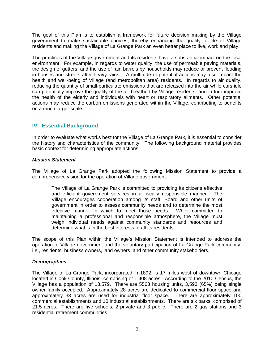The goal of this Plan is to establish a framework for future decision making by the Village government to make sustainable choices, thereby enhancing the quality of life of Village residents and making the Village of La Grange Park an even better place to live, work and play.

The practices of the Village government and its residents have a substantial impact on the local environment. For example, in regards to water quality, the use of permeable paving materials, the design of gutters, and the use of rain barrels by households may reduce or prevent flooding in houses and streets after heavy rains. A multitude of potential actions may also impact the health and well-being of Village (and metropolitan area) residents. In regards to air quality, reducing the quantity of small-particulate emissions that are released into the air while cars idle can potentially improve the quality of the air breathed by Village residents, and in turn improve the health of the elderly and individuals with heart or respiratory ailments. Other potential actions may reduce the carbon emissions generated within the Village, contributing to benefits on a much larger scale.

# **IV. Essential Background**

In order to evaluate what works best for the Village of La Grange Park, it is essential to consider the history and characteristics of the community. The following background material provides basic context for determining appropriate actions.

# *Mission Statement*

The Village of La Grange Park adopted the following Mission Statement to provide a comprehensive vision for the operation of Village government:

The Village of La Grange Park is committed to providing its citizens effective and efficient government services in a fiscally responsible manner. The Village encourages cooperation among its staff, Board and other units of government in order to assess community needs and to determine the most effective manner in which to meet those needs. While committed to maintaining a professional and responsible atmosphere, the Village must weigh individual needs against community standards and resources and determine what is in the best interests of all its residents.

The scope of this Plan within the Village's Mission Statement is intended to address the operation of Village government and the voluntary participation of La Grange Park community, i.e., residents, business owners, land owners, and other community stakeholders.

# *Demographics*

The Village of La Grange Park, incorporated in 1892, is 17 miles west of downtown Chicago located in Cook County, Illinois, comprising of 1,408 acres. According to the 2010 Census, the Village has a population of 13,579. There are 5563 housing units, 3,593 (65%) being single owner family occupied. Approximately 28 acres are dedicated to commercial floor space and approximately 33 acres are used for industrial floor space. There are approximately 100 commercial establishments and 10 industrial establishments. There are six parks, comprised of 21.5 acres. There are five schools, 2 private and 3 public. There are 2 gas stations and 3 residential retirement communities.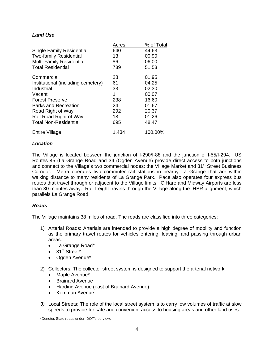# *Land Use*

|                                    | Acres | % of Total |
|------------------------------------|-------|------------|
| <b>Single Family Residential</b>   | 640   | 44.63      |
| <b>Two-family Residential</b>      | 13    | 00.90      |
| <b>Multi-Family Residential</b>    | 86    | 06.00      |
| <b>Total Residential</b>           | 739   | 51.53      |
| Commercial                         | 28    | 01.95      |
| Institutional (including cemetery) | 61    | 04.25      |
| Industrial                         | 33    | 02.30      |
| Vacant                             | 1     | 00.07      |
| <b>Forest Preserve</b>             | 238   | 16.60      |
| Parks and Recreation               | 24    | 01.67      |
| Road Right of Way                  | 292   | 20.37      |
| Rail Road Right of Way             | 18    | 01.26      |
| <b>Total Non-Residential</b>       | 695   | 48.47      |
| <b>Entire Village</b>              | 1,434 | 100.00%    |

#### *Location*

The Village is located between the junction of I-290/I-88 and the junction of l-55/I-294. US Routes 45 (La Grange Road and 34 (Ogden Avenue) provide direct access to both junctions and connect to the Village's two commercial nodes: the Village Market and  $31<sup>st</sup>$  Street Business Corridor. Metra operates two commuter rail stations in nearby La Grange that are within walking distance to many residents of La Grange Park. Pace also operates four express bus routes that travel through or adjacent to the Village limits. O'Hare and Midway Airports are less than 30 minutes away. Rail freight travels through the Village along the IHBR alignment, which parallels La Grange Road.

#### *Roads*

The Village maintains 38 miles of road. The roads are classified into three categories:

- 1) Arterial Roads: Arterials are intended to provide a high degree of mobility and function as the primary travel routes for vehicles entering, leaving, and passing through urban areas.
	- La Grange Road\*
	- $\bullet$  31<sup>st</sup> Street\*
	- Ogden Avenue\*
- 2) Collectors: The collector street system is designed to support the arterial network.
	- Maple Avenue\*
	- Brainard Avenue
	- Harding Avenue (east of Brainard Avenue)
	- Kemman Avenue
- *3)* Local Streets: The role of the local street system is to carry low volumes of traffic at slow speeds to provide for safe and convenient access to housing areas and other land uses.

\*Denotes State roads under IDOT's purview.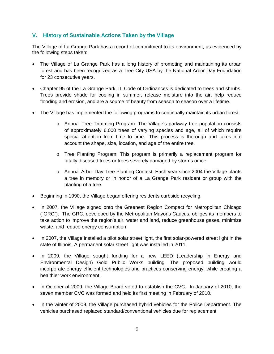# **V. History of Sustainable Actions Taken by the Village**

The Village of La Grange Park has a record of commitment to its environment, as evidenced by the following steps taken:

- The Village of La Grange Park has a long history of promoting and maintaining its urban forest and has been recognized as a Tree City USA by the National Arbor Day Foundation for 23 consecutive years.
- Chapter 95 of the La Grange Park, IL Code of Ordinances is dedicated to trees and shrubs. Trees provide shade for cooling in summer, release moisture into the air, help reduce flooding and erosion, and are a source of beauty from season to season over a lifetime.
- The Village has implemented the following programs to continually maintain its urban forest:
	- o Annual Tree Trimming Program: The Village's parkway tree population consists of approximately 6,000 trees of varying species and age, all of which require special attention from time to time. This process is thorough and takes into account the shape, size, location, and age of the entire tree.
	- o Tree Planting Program: This program is primarily a replacement program for fatally diseased trees or trees severely damaged by storms or ice.
	- o Annual Arbor Day Tree Planting Contest: Each year since 2004 the Village plants a tree in memory or in honor of a La Grange Park resident or group with the planting of a tree.
- Beginning in 1990, the Village began offering residents curbside recycling.
- In 2007, the Village signed onto the Greenest Region Compact for Metropolitan Chicago ("GRC"). The GRC, developed by the Metropolitan Mayor's Caucus, obliges its members to take action to improve the region's air, water and land, reduce greenhouse gases, minimize waste, and reduce energy consumption.
- In 2007, the Village installed a pilot solar street light, the first solar-powered street light in the state of Illinois. A permanent solar street light was installed in 2011.
- In 2009, the Village sought funding for a new LEED (Leadership in Energy and Environmental Design) Gold Public Works building. The proposed building would incorporate energy efficient technologies and practices conserving energy, while creating a healthier work environment.
- In October of 2009, the Village Board voted to establish the CVC. In January of 2010, the seven member CVC was formed and held its first meeting in February of 2010.
- In the winter of 2009, the Village purchased hybrid vehicles for the Police Department. The vehicles purchased replaced standard/conventional vehicles due for replacement.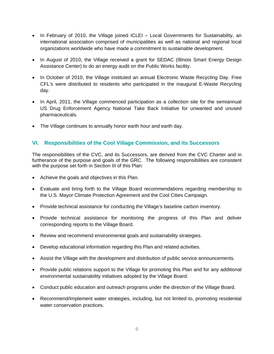- In February of 2010, the Village joined ICLEI Local Governments for Sustainability, an international association comprised of municipalities as well as national and regional local organizations worldwide who have made a commitment to sustainable development.
- In August of 2010, the Village received a grant for SEDAC (Illinois Smart Energy Design Assistance Center) to do an energy audit on the Public Works facility.
- In October of 2010, the Village instituted an annual Electronic Waste Recycling Day. Free CFL's were distributed to residents who participated in the inaugural E-Waste Recycling day.
- In April, 2011, the Village commenced participation as a collection site for the semiannual US Drug Enforcement Agency National Take Back Initiative for unwanted and unused pharmaceuticals.
- The Village continues to annually honor earth hour and earth day.

# **VI. Responsibilities of the Cool Village Commission, and its Successors**

The responsibilities of the CVC, and its Successors, are derived from the CVC Charter and in furtherance of the purpose and goals of the GRC. The following responsibilities are consistent with the purpose set forth in Section III of this Plan:

- Achieve the goals and objectives in this Plan.
- Evaluate and bring forth to the Village Board recommendations regarding membership to the U.S. Mayor Climate Protection Agreement and the Cool Cities Campaign.
- Provide technical assistance for conducting the Village's baseline carbon inventory.
- Provide technical assistance for monitoring the progress of this Plan and deliver corresponding reports to the Village Board.
- Review and recommend environmental goals and sustainability strategies.
- Develop educational information regarding this Plan and related activities.
- Assist the Village with the development and distribution of public service announcements.
- Provide public relations support to the Village for promoting this Plan and for any additional environmental sustainability initiatives adopted by the Village Board.
- Conduct public education and outreach programs under the direction of the Village Board.
- Recommend/Implement water strategies, including, but not limited to, promoting residential water conservation practices.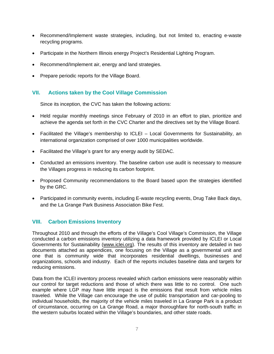- Recommend/Implement waste strategies, including, but not limited to, enacting e-waste recycling programs.
- Participate in the Northern Illinois energy Project's Residential Lighting Program.
- Recommend/Implement air, energy and land strategies.
- Prepare periodic reports for the Village Board.

# **VII. Actions taken by the Cool Village Commission**

Since its inception, the CVC has taken the following actions:

- Held regular monthly meetings since February of 2010 in an effort to plan, prioritize and achieve the agenda set forth in the CVC Charter and the directives set by the Village Board.
- Facilitated the Village's membership to ICLEI Local Governments for Sustainability, an international organization comprised of over 1000 municipalities worldwide.
- Facilitated the Village's grant for any energy audit by SEDAC.
- Conducted an emissions inventory. The baseline carbon use audit is necessary to measure the Villages progress in reducing its carbon footprint.
- Proposed Community recommendations to the Board based upon the strategies identified by the GRC.
- Participated in community events, including E-waste recycling events, Drug Take Back days, and the La Grange Park Business Association Bike Fest.

# **VIII. Carbon Emissions Inventory**

Throughout 2010 and through the efforts of the Village's Cool Village's Commission, the Village conducted a carbon emissions inventory utilizing a data framework provided by ICLEI or Local Governments for Sustainability (www.iclei.org). The results of this inventory are detailed in two documents attached as appendices, one focusing on the Village as a governmental unit and one that is community wide that incorporates residential dwellings, businesses and organizations, schools and industry. Each of the reports includes baseline data and targets for reducing emissions.

Data from the ICLEI inventory process revealed which carbon emissions were reasonably within our control for target reductions and those of which there was little to no control. One such example where LGP may have little impact is the emissions that result from vehicle miles traveled. While the Village can encourage the use of public transportation and car-pooling to individual households, the majority of the vehicle miles traveled in La Grange Park is a product of circumstance, occurring on La Grange Road, a major thoroughfare for north-south traffic in the western suburbs located within the Village's boundaries, and other state roads.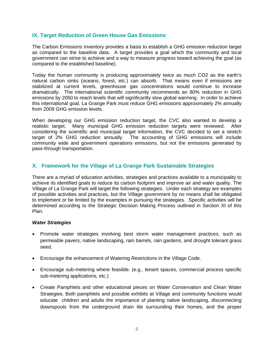# **IX. Target Reduction of Green House Gas Emissions**

The Carbon Emissions Inventory provides a basis to establish a GHG emission reduction target as compared to the baseline data. A target provides a goal which the community and local government can strive to achieve and a way to measure progress toward achieving the goal (as compared to the established baseline).

Today the human community is producing approximately twice as much CO2 as the earth's natural carbon sinks (oceans, forest, etc.) can absorb. That means even if emissions are stabilized at current levels, greenhouse gas concentrations would continue to increase dramatically. The international scientific community recommends an 80% reduction in GHG emissions by 2050 to reach levels that will significantly slow global warming. In order to achieve this international goal, La Grange Park must reduce GHG emissions approximately 2% annually from 2009 GHG emission levels.

When developing our GHG emission reduction target, the CVC also wanted to develop a realistic target. Many municipal GHG emission reduction targets were reviewed. After considering the scientific and municipal target information, the CVC decided to set a stretch target of 2% GHG reduction annually. The accounting of GHG emissions will include community wide and government operations emissions, but not the emissions generated by pass-through transportation.

# **X. Framework for the Village of La Grange Park Sustainable Strategies**

There are a myriad of education activities, strategies and practices available to a municipality to achieve its identified goals to reduce its carbon footprint and improve air and water quality. The Village of La Grange Park will target the following strategies. Under each strategy are examples of possible activities and practices, but the Village government by no means shall be obligated to implement or be limited by the examples in pursuing the strategies. Specific activities will be determined according to the Strategic Decision Making Process outlined in Section XI of this Plan.

# *Water Strategies*

- Promote water strategies involving best storm water management practices, such as permeable pavers, native landscaping, rain barrels, rain gardens, and drought tolerant grass seed.
- Encourage the enhancement of Watering Restrictions in the Village Code.
- Encourage sub-metering where feasible. (e.g., tenant spaces, commercial process specific sub-metering applications, etc.)
- Create Pamphlets and other educational pieces on Water Conservation and Clean Water Strategies. Both pamphlets and possible exhibits at Village and community functions would educate children and adults the importance of planting native landscaping, disconnecting downspouts from the underground drain tile surrounding their homes, and the proper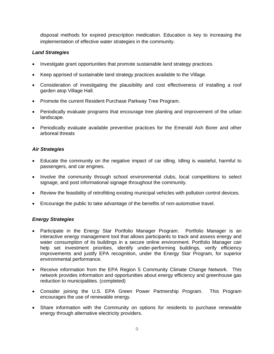disposal methods for expired prescription medication. Education is key to increasing the implementation of effective water strategies in the community.

# *Land Strategies*

- Investigate grant opportunities that promote sustainable land strategy practices.
- Keep apprised of sustainable land strategy practices available to the Village.
- Consideration of investigating the plausibility and cost effectiveness of installing a roof garden atop Village Hall.
- Promote the current Resident Purchase Parkway Tree Program.
- Periodically evaluate programs that encourage tree planting and improvement of the urban landscape.
- Periodically evaluate available preventive practices for the Emerald Ash Borer and other arboreal threats

# *Air Strategies*

- Educate the community on the negative impact of car idling. Idling is wasteful, harmful to passengers, and car engines.
- Involve the community through school environmental clubs, local competitions to select signage, and post informational signage throughout the community.
- Review the feasibility of retrofitting existing municipal vehicles with pollution control devices.
- Encourage the public to take advantage of the benefits of non-automotive travel.

# *Energy Strategies*

- Participate in the Energy Star Portfolio Manager Program. Portfolio Manager is an interactive energy management tool that allows participants to track and assess energy and water consumption of its buildings in a secure online environment. Portfolio Manager can help set investment priorities, identify under-performing buildings, verify efficiency improvements and justify EPA recognition, under the Energy Star Program, for superior environmental performance.
- Receive information from the EPA Region 5 Community Climate Change Network. This network provides information and opportunities about energy efficiency and greenhouse gas reduction to municipalities. (completed)
- Consider joining the U.S. EPA Green Power Partnership Program. This Program encourages the use of renewable energy.
- Share information with the Community on options for residents to purchase renewable energy through alternative electricity providers.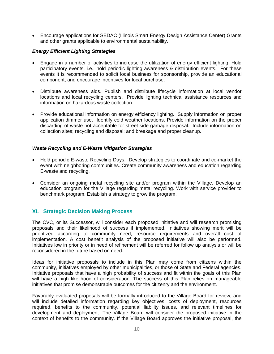• Encourage applications for SEDAC (Illinois Smart Energy Design Assistance Center) Grants and other grants applicable to environmental sustainability.

#### *Energy Efficient Lighting Strategies*

- Engage in a number of activities to increase the utilization of energy efficient lighting. Hold participatory events, i.e., hold periodic lighting awareness & distribution events. For these events it is recommended to solicit local business for sponsorship, provide an educational component, and encourage incentives for local purchase.
- Distribute awareness aids. Publish and distribute lifecycle information at local vendor locations and local recycling centers. Provide lighting technical assistance resources and information on hazardous waste collection.
- Provide educational information on energy efficiency lighting. Supply information on proper application dimmer use. Identify cold weather locations. Provide information on the proper discarding of waste not acceptable for street side garbage disposal. Include information on collection sites; recycling and disposal; and breakage and proper cleanup.

#### *Waste Recycling and E-Waste Mitigation Strategies*

- Hold periodic E-waste Recycling Days. Develop strategies to coordinate and co-market the event with neighboring communities. Create community awareness and education regarding E-waste and recycling.
- Consider an ongoing metal recycling site and/or program within the Village. Develop an education program for the Village regarding metal recycling. Work with service provider to benchmark program. Establish a strategy to grow the program.

# **XI. Strategic Decision Making Process**

The CVC, or its Successor, will consider each proposed initiative and will research promising proposals and their likelihood of success if implemented. Initiatives showing merit will be prioritized according to community need, resource requirements and overall cost of implementation. A cost benefit analysis of the proposed initiative will also be performed. Initiatives low in priority or in need of refinement will be referred for follow up analysis or will be reconsidered in the future based on need.

Ideas for initiative proposals to include in this Plan may come from citizens within the community, initiatives employed by other municipalities, or those of State and Federal agencies. Initiative proposals that have a high probability of success and fit within the goals of this Plan will have a high likelihood of consideration. The success of this Plan relies on manageable initiatives that promise demonstrable outcomes for the citizenry and the environment.

Favorably evaluated proposals will be formally introduced to the Village Board for review, and will include detailed information regarding key objectives, costs of deployment, resources required, benefits to the community, potential liability issues, and relevant timelines for development and deployment. The Village Board will consider the proposed initiative in the context of benefits to the community. If the Village Board approves the initiative proposal, the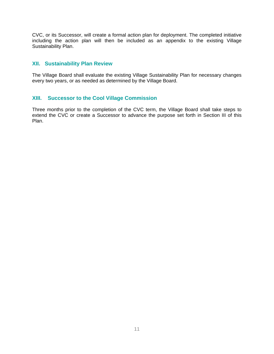CVC, or its Successor, will create a formal action plan for deployment. The completed initiative including the action plan will then be included as an appendix to the existing Village Sustainability Plan.

# **XII. Sustainability Plan Review**

The Village Board shall evaluate the existing Village Sustainability Plan for necessary changes every two years, or as needed as determined by the Village Board.

# **XIII. Successor to the Cool Village Commission**

Three months prior to the completion of the CVC term, the Village Board shall take steps to extend the CVC or create a Successor to advance the purpose set forth in Section III of this Plan.